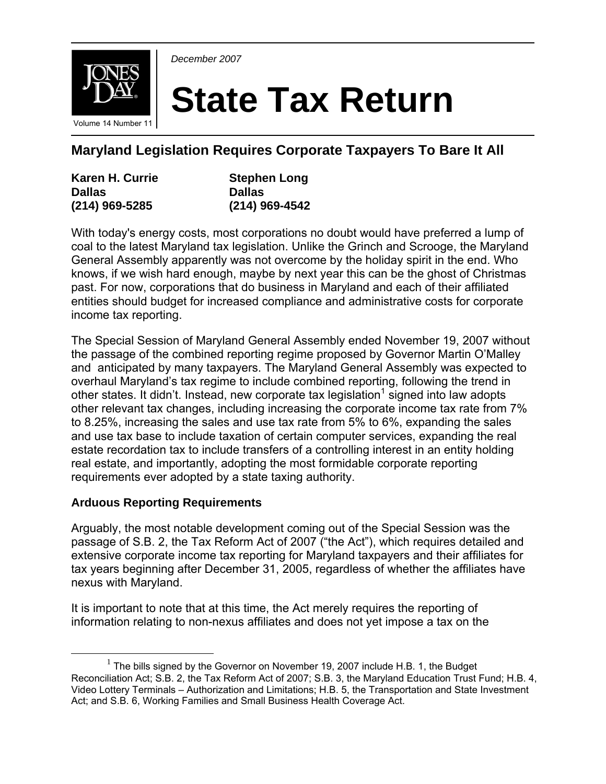

*December 2007* 

# **State Tax Return**

**Maryland Legislation Requires Corporate Taxpayers To Bare It All** 

| Karen H. Currie  | <b>Stephen Long</b> |
|------------------|---------------------|
| <b>Dallas</b>    | <b>Dallas</b>       |
| $(214)$ 969-5285 | (214) 969-4542      |

With today's energy costs, most corporations no doubt would have preferred a lump of coal to the latest Maryland tax legislation. Unlike the Grinch and Scrooge, the Maryland General Assembly apparently was not overcome by the holiday spirit in the end. Who knows, if we wish hard enough, maybe by next year this can be the ghost of Christmas past. For now, corporations that do business in Maryland and each of their affiliated entities should budget for increased compliance and administrative costs for corporate income tax reporting.

The Special Session of Maryland General Assembly ended November 19, 2007 without the passage of the combined reporting regime proposed by Governor Martin O'Malley and anticipated by many taxpayers. The Maryland General Assembly was expected to overhaul Maryland's tax regime to include combined reporting, following the trend in other states. It didn't. Instead, new corporate tax legislation<sup>1</sup> signed into law adopts other relevant tax changes, including increasing the corporate income tax rate from 7% to 8.25%, increasing the sales and use tax rate from 5% to 6%, expanding the sales and use tax base to include taxation of certain computer services, expanding the real estate recordation tax to include transfers of a controlling interest in an entity holding real estate, and importantly, adopting the most formidable corporate reporting requirements ever adopted by a state taxing authority.

## **Arduous Reporting Requirements**

Arguably, the most notable development coming out of the Special Session was the passage of S.B. 2, the Tax Reform Act of 2007 ("the Act"), which requires detailed and extensive corporate income tax reporting for Maryland taxpayers and their affiliates for tax years beginning after December 31, 2005, regardless of whether the affiliates have nexus with Maryland.

It is important to note that at this time, the Act merely requires the reporting of information relating to non-nexus affiliates and does not yet impose a tax on the

<sup>&</sup>lt;u>1</u>  $1$  The bills signed by the Governor on November 19, 2007 include H.B. 1, the Budget Reconciliation Act; S.B. 2, the Tax Reform Act of 2007; S.B. 3, the Maryland Education Trust Fund; H.B. 4, Video Lottery Terminals – Authorization and Limitations; H.B. 5, the Transportation and State Investment Act; and S.B. 6, Working Families and Small Business Health Coverage Act.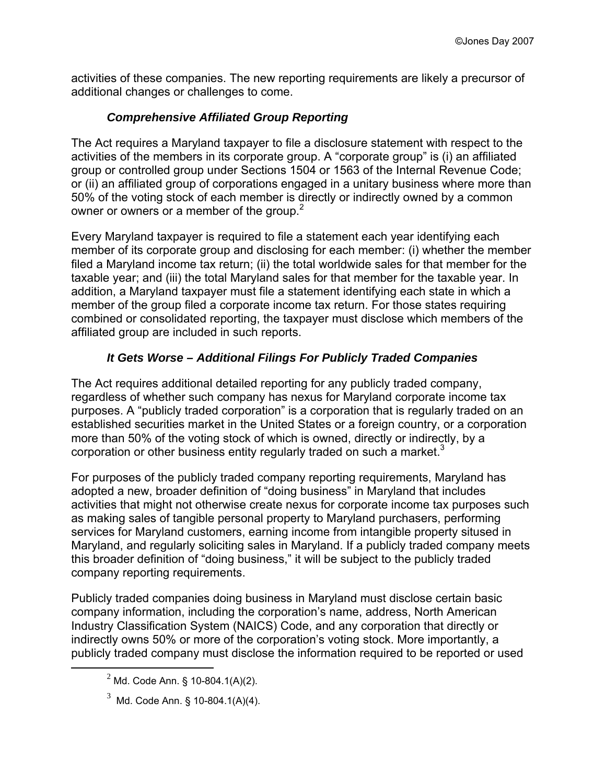activities of these companies. The new reporting requirements are likely a precursor of additional changes or challenges to come.

## *Comprehensive Affiliated Group Reporting*

The Act requires a Maryland taxpayer to file a disclosure statement with respect to the activities of the members in its corporate group. A "corporate group" is (i) an affiliated group or controlled group under Sections 1504 or 1563 of the Internal Revenue Code; or (ii) an affiliated group of corporations engaged in a unitary business where more than 50% of the voting stock of each member is directly or indirectly owned by a common owner or owners or a member of the group. $2^2$ 

Every Maryland taxpayer is required to file a statement each year identifying each member of its corporate group and disclosing for each member: (i) whether the member filed a Maryland income tax return; (ii) the total worldwide sales for that member for the taxable year; and (iii) the total Maryland sales for that member for the taxable year. In addition, a Maryland taxpayer must file a statement identifying each state in which a member of the group filed a corporate income tax return. For those states requiring combined or consolidated reporting, the taxpayer must disclose which members of the affiliated group are included in such reports.

## *It Gets Worse – Additional Filings For Publicly Traded Companies*

The Act requires additional detailed reporting for any publicly traded company, regardless of whether such company has nexus for Maryland corporate income tax purposes. A "publicly traded corporation" is a corporation that is regularly traded on an established securities market in the United States or a foreign country, or a corporation more than 50% of the voting stock of which is owned, directly or indirectly, by a corporation or other business entity regularly traded on such a market.<sup>3</sup>

For purposes of the publicly traded company reporting requirements, Maryland has adopted a new, broader definition of "doing business" in Maryland that includes activities that might not otherwise create nexus for corporate income tax purposes such as making sales of tangible personal property to Maryland purchasers, performing services for Maryland customers, earning income from intangible property sitused in Maryland, and regularly soliciting sales in Maryland. If a publicly traded company meets this broader definition of "doing business," it will be subject to the publicly traded company reporting requirements.

Publicly traded companies doing business in Maryland must disclose certain basic company information, including the corporation's name, address, North American Industry Classification System (NAICS) Code, and any corporation that directly or indirectly owns 50% or more of the corporation's voting stock. More importantly, a publicly traded company must disclose the information required to be reported or used

 <sup>2</sup>  $^{2}$  Md. Code Ann. § 10-804.1(A)(2).

 $3 \text{ Md. Code Ann. }$ § 10-804.1(A)(4).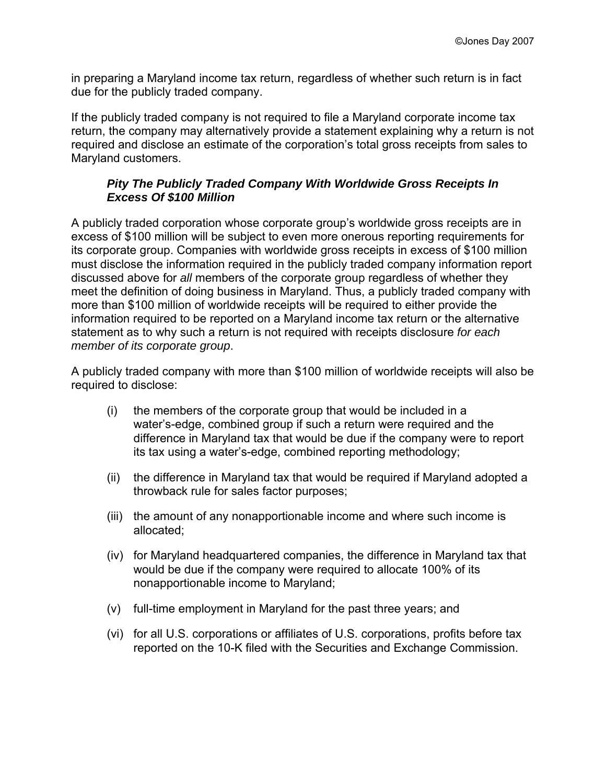in preparing a Maryland income tax return, regardless of whether such return is in fact due for the publicly traded company.

If the publicly traded company is not required to file a Maryland corporate income tax return, the company may alternatively provide a statement explaining why a return is not required and disclose an estimate of the corporation's total gross receipts from sales to Maryland customers.

#### *Pity The Publicly Traded Company With Worldwide Gross Receipts In Excess Of \$100 Million*

A publicly traded corporation whose corporate group's worldwide gross receipts are in excess of \$100 million will be subject to even more onerous reporting requirements for its corporate group. Companies with worldwide gross receipts in excess of \$100 million must disclose the information required in the publicly traded company information report discussed above for *all* members of the corporate group regardless of whether they meet the definition of doing business in Maryland. Thus, a publicly traded company with more than \$100 million of worldwide receipts will be required to either provide the information required to be reported on a Maryland income tax return or the alternative statement as to why such a return is not required with receipts disclosure *for each member of its corporate group*.

A publicly traded company with more than \$100 million of worldwide receipts will also be required to disclose:

- (i) the members of the corporate group that would be included in a water's-edge, combined group if such a return were required and the difference in Maryland tax that would be due if the company were to report its tax using a water's-edge, combined reporting methodology;
- (ii) the difference in Maryland tax that would be required if Maryland adopted a throwback rule for sales factor purposes;
- (iii) the amount of any nonapportionable income and where such income is allocated;
- (iv) for Maryland headquartered companies, the difference in Maryland tax that would be due if the company were required to allocate 100% of its nonapportionable income to Maryland;
- (v) full-time employment in Maryland for the past three years; and
- (vi) for all U.S. corporations or affiliates of U.S. corporations, profits before tax reported on the 10-K filed with the Securities and Exchange Commission.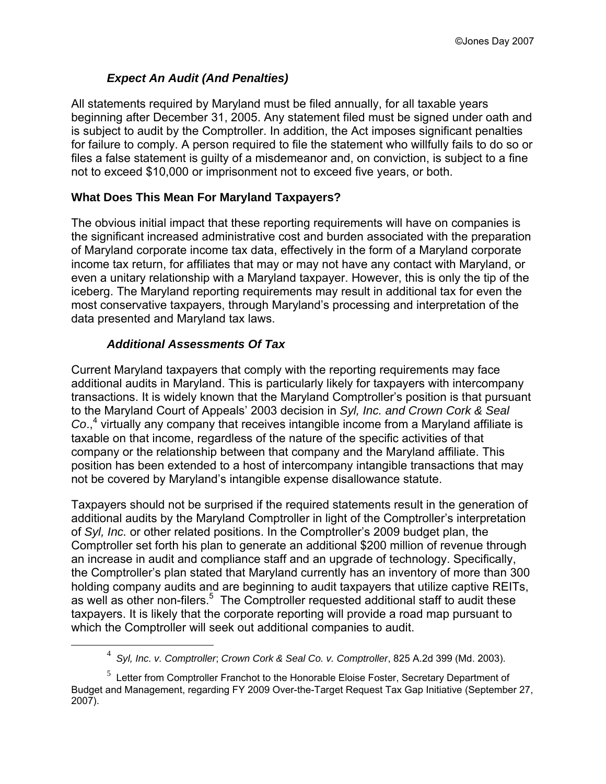#### *Expect An Audit (And Penalties)*

All statements required by Maryland must be filed annually, for all taxable years beginning after December 31, 2005. Any statement filed must be signed under oath and is subject to audit by the Comptroller. In addition, the Act imposes significant penalties for failure to comply. A person required to file the statement who willfully fails to do so or files a false statement is guilty of a misdemeanor and, on conviction, is subject to a fine not to exceed \$10,000 or imprisonment not to exceed five years, or both.

#### **What Does This Mean For Maryland Taxpayers?**

The obvious initial impact that these reporting requirements will have on companies is the significant increased administrative cost and burden associated with the preparation of Maryland corporate income tax data, effectively in the form of a Maryland corporate income tax return, for affiliates that may or may not have any contact with Maryland, or even a unitary relationship with a Maryland taxpayer. However, this is only the tip of the iceberg. The Maryland reporting requirements may result in additional tax for even the most conservative taxpayers, through Maryland's processing and interpretation of the data presented and Maryland tax laws.

#### *Additional Assessments Of Tax*

Current Maryland taxpayers that comply with the reporting requirements may face additional audits in Maryland. This is particularly likely for taxpayers with intercompany transactions. It is widely known that the Maryland Comptroller's position is that pursuant to the Maryland Court of Appeals' 2003 decision in *Syl, Inc. and Crown Cork & Seal*  Co.,<sup>4</sup> virtually any company that receives intangible income from a Maryland affiliate is taxable on that income, regardless of the nature of the specific activities of that company or the relationship between that company and the Maryland affiliate. This position has been extended to a host of intercompany intangible transactions that may not be covered by Maryland's intangible expense disallowance statute.

Taxpayers should not be surprised if the required statements result in the generation of additional audits by the Maryland Comptroller in light of the Comptroller's interpretation of *Syl, Inc.* or other related positions. In the Comptroller's 2009 budget plan, the Comptroller set forth his plan to generate an additional \$200 million of revenue through an increase in audit and compliance staff and an upgrade of technology. Specifically, the Comptroller's plan stated that Maryland currently has an inventory of more than 300 holding company audits and are beginning to audit taxpayers that utilize captive REITs, as well as other non-filers.<sup>5</sup> The Comptroller requested additional staff to audit these taxpayers. It is likely that the corporate reporting will provide a road map pursuant to which the Comptroller will seek out additional companies to audit.

 $\overline{\phantom{a}}$ *Syl, Inc. v. Comptroller*; *Crown Cork & Seal Co. v. Comptroller*, 825 A.2d 399 (Md. 2003).

 $5$  Letter from Comptroller Franchot to the Honorable Eloise Foster, Secretary Department of Budget and Management, regarding FY 2009 Over-the-Target Request Tax Gap Initiative (September 27, 2007).